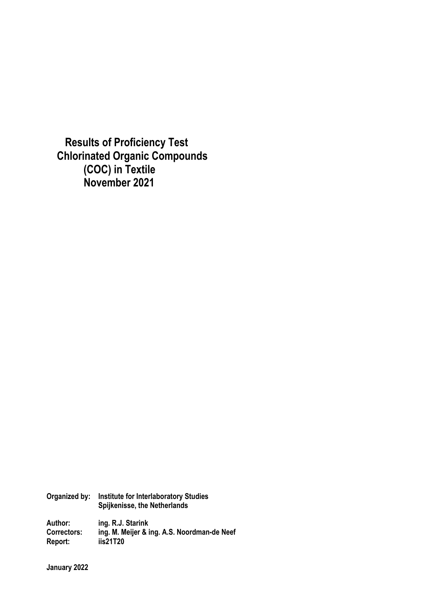**Results of Proficiency Test Chlorinated Organic Compounds (COC) in Textile November 2021**

**Organized by: Institute for Interlaboratory Studies Spijkenisse, the Netherlands** 

**Author: ing. R.J. Starink Correctors: ing. M. Meijer & ing. A.S. Noordman-de Neef Report: iis21T20** 

**January 2022**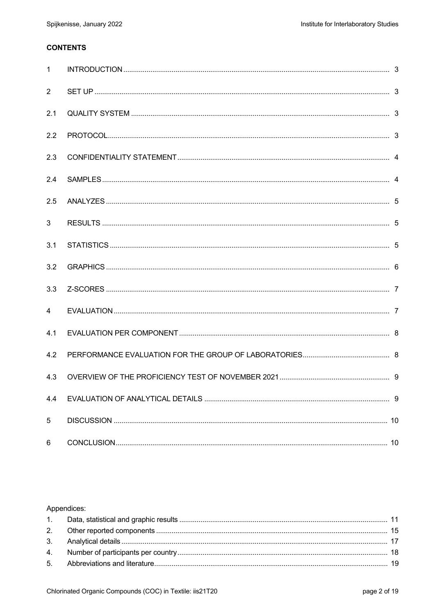# **CONTENTS**

| $\mathbf{1}$   |  |
|----------------|--|
| $\overline{2}$ |  |
| 2.1            |  |
| 2.2            |  |
| 2.3            |  |
| 2.4            |  |
| 2.5            |  |
| 3              |  |
| 3.1            |  |
| 3.2            |  |
| 3.3            |  |
| $\overline{4}$ |  |
| 4.1            |  |
| 4.2            |  |
| 4.3            |  |
| 4.4            |  |
| 5              |  |
| 6              |  |

## Appendices: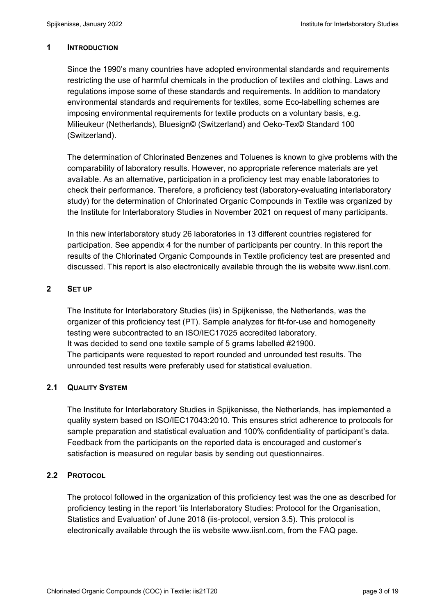## **1 INTRODUCTION**

Since the 1990's many countries have adopted environmental standards and requirements restricting the use of harmful chemicals in the production of textiles and clothing. Laws and regulations impose some of these standards and requirements. In addition to mandatory environmental standards and requirements for textiles, some Eco-labelling schemes are imposing environmental requirements for textile products on a voluntary basis, e.g. Milieukeur (Netherlands), Bluesign© (Switzerland) and Oeko-Tex© Standard 100 (Switzerland).

The determination of Chlorinated Benzenes and Toluenes is known to give problems with the comparability of laboratory results. However, no appropriate reference materials are yet available. As an alternative, participation in a proficiency test may enable laboratories to check their performance. Therefore, a proficiency test (laboratory-evaluating interlaboratory study) for the determination of Chlorinated Organic Compounds in Textile was organized by the Institute for Interlaboratory Studies in November 2021 on request of many participants.

In this new interlaboratory study 26 laboratories in 13 different countries registered for participation. See appendix 4 for the number of participants per country. In this report the results of the Chlorinated Organic Compounds in Textile proficiency test are presented and discussed. This report is also electronically available through the iis website www.iisnl.com.

# **2 SET UP**

The Institute for Interlaboratory Studies (iis) in Spijkenisse, the Netherlands, was the organizer of this proficiency test (PT). Sample analyzes for fit-for-use and homogeneity testing were subcontracted to an ISO/IEC17025 accredited laboratory. It was decided to send one textile sample of 5 grams labelled #21900. The participants were requested to report rounded and unrounded test results. The unrounded test results were preferably used for statistical evaluation.

# **2.1 QUALITY SYSTEM**

The Institute for Interlaboratory Studies in Spijkenisse, the Netherlands, has implemented a quality system based on ISO/IEC17043:2010. This ensures strict adherence to protocols for sample preparation and statistical evaluation and 100% confidentiality of participant's data. Feedback from the participants on the reported data is encouraged and customer's satisfaction is measured on regular basis by sending out questionnaires.

# **2.2 PROTOCOL**

The protocol followed in the organization of this proficiency test was the one as described for proficiency testing in the report 'iis Interlaboratory Studies: Protocol for the Organisation, Statistics and Evaluation' of June 2018 (iis-protocol, version 3.5). This protocol is electronically available through the iis website www.iisnl.com, from the FAQ page.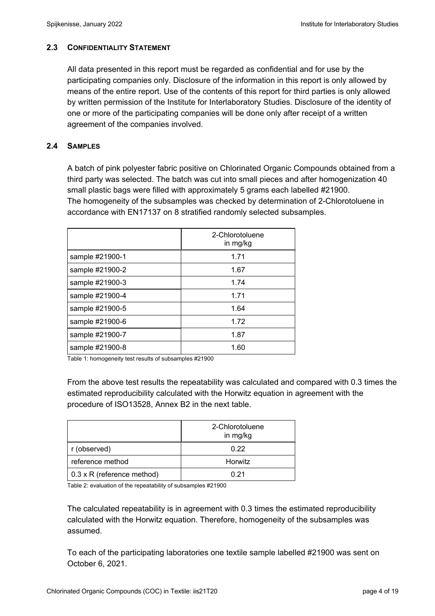# **2.3 CONFIDENTIALITY STATEMENT**

All data presented in this report must be regarded as confidential and for use by the participating companies only. Disclosure of the information in this report is only allowed by means of the entire report. Use of the contents of this report for third parties is only allowed by written permission of the Institute for Interlaboratory Studies. Disclosure of the identity of one or more of the participating companies will be done only after receipt of a written agreement of the companies involved.

# **2.4 SAMPLES**

A batch of pink polyester fabric positive on Chlorinated Organic Compounds obtained from a third party was selected. The batch was cut into small pieces and after homogenization 40 small plastic bags were filled with approximately 5 grams each labelled #21900. The homogeneity of the subsamples was checked by determination of 2-Chlorotoluene in accordance with EN17137 on 8 stratified randomly selected subsamples.

|                 | 2-Chlorotoluene<br>in mg/kg |
|-----------------|-----------------------------|
| sample #21900-1 | 1.71                        |
| sample #21900-2 | 1.67                        |
| sample #21900-3 | 1.74                        |
| sample #21900-4 | 1.71                        |
| sample #21900-5 | 1.64                        |
| sample #21900-6 | 1.72                        |
| sample #21900-7 | 1.87                        |
| sample #21900-8 | 1.60                        |

Table 1: homogeneity test results of subsamples #21900

From the above test results the repeatability was calculated and compared with 0.3 times the estimated reproducibility calculated with the Horwitz equation in agreement with the procedure of ISO13528, Annex B2 in the next table.

|                                    | 2-Chlorotoluene<br>in mg/kg |
|------------------------------------|-----------------------------|
| r (observed)                       | 0.22                        |
| reference method                   | Horwitz                     |
| $\vert$ 0.3 x R (reference method) | በ 21                        |

Table 2: evaluation of the repeatability of subsamples #21900

The calculated repeatability is in agreement with 0.3 times the estimated reproducibility calculated with the Horwitz equation. Therefore, homogeneity of the subsamples was assumed.

To each of the participating laboratories one textile sample labelled #21900 was sent on October 6, 2021.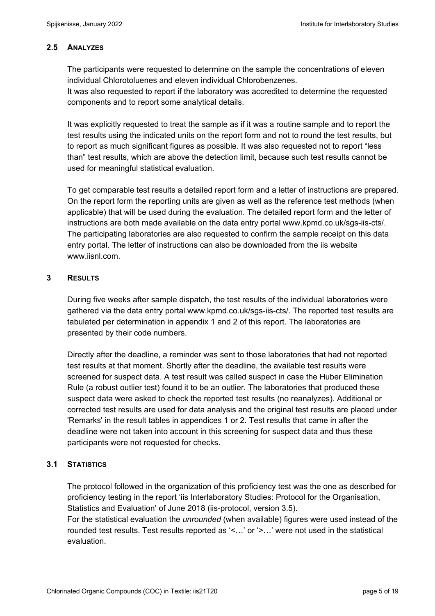## **2.5 ANALYZES**

The participants were requested to determine on the sample the concentrations of eleven individual Chlorotoluenes and eleven individual Chlorobenzenes.

It was also requested to report if the laboratory was accredited to determine the requested components and to report some analytical details.

It was explicitly requested to treat the sample as if it was a routine sample and to report the test results using the indicated units on the report form and not to round the test results, but to report as much significant figures as possible. It was also requested not to report "less than" test results, which are above the detection limit, because such test results cannot be used for meaningful statistical evaluation.

To get comparable test results a detailed report form and a letter of instructions are prepared. On the report form the reporting units are given as well as the reference test methods (when applicable) that will be used during the evaluation. The detailed report form and the letter of instructions are both made available on the data entry portal www.kpmd.co.uk/sgs-iis-cts/. The participating laboratories are also requested to confirm the sample receipt on this data entry portal. The letter of instructions can also be downloaded from the iis website www.iisnl.com.

## **3 RESULTS**

During five weeks after sample dispatch, the test results of the individual laboratories were gathered via the data entry portal www.kpmd.co.uk/sgs-iis-cts/. The reported test results are tabulated per determination in appendix 1 and 2 of this report. The laboratories are presented by their code numbers.

Directly after the deadline, a reminder was sent to those laboratories that had not reported test results at that moment. Shortly after the deadline, the available test results were screened for suspect data. A test result was called suspect in case the Huber Elimination Rule (a robust outlier test) found it to be an outlier. The laboratories that produced these suspect data were asked to check the reported test results (no reanalyzes). Additional or corrected test results are used for data analysis and the original test results are placed under 'Remarks' in the result tables in appendices 1 or 2. Test results that came in after the deadline were not taken into account in this screening for suspect data and thus these participants were not requested for checks.

## **3.1 STATISTICS**

The protocol followed in the organization of this proficiency test was the one as described for proficiency testing in the report 'iis Interlaboratory Studies: Protocol for the Organisation, Statistics and Evaluation' of June 2018 (iis-protocol, version 3.5).

For the statistical evaluation the *unrounded* (when available) figures were used instead of the rounded test results. Test results reported as '<…' or '>…' were not used in the statistical evaluation.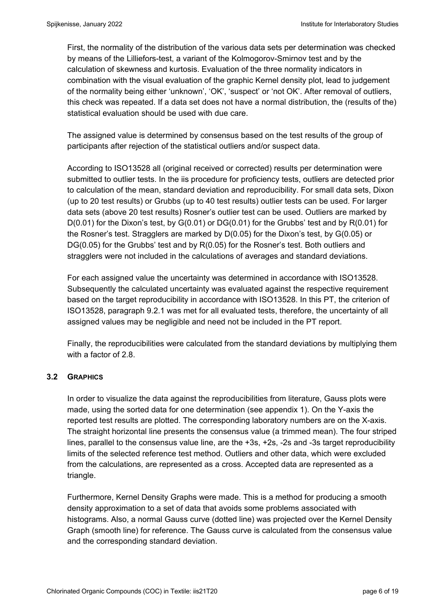First, the normality of the distribution of the various data sets per determination was checked by means of the Lilliefors-test, a variant of the Kolmogorov-Smirnov test and by the calculation of skewness and kurtosis. Evaluation of the three normality indicators in combination with the visual evaluation of the graphic Kernel density plot, lead to judgement of the normality being either 'unknown', 'OK', 'suspect' or 'not OK'. After removal of outliers, this check was repeated. If a data set does not have a normal distribution, the (results of the) statistical evaluation should be used with due care.

The assigned value is determined by consensus based on the test results of the group of participants after rejection of the statistical outliers and/or suspect data.

According to ISO13528 all (original received or corrected) results per determination were submitted to outlier tests. In the iis procedure for proficiency tests, outliers are detected prior to calculation of the mean, standard deviation and reproducibility. For small data sets, Dixon (up to 20 test results) or Grubbs (up to 40 test results) outlier tests can be used. For larger data sets (above 20 test results) Rosner's outlier test can be used. Outliers are marked by D(0.01) for the Dixon's test, by G(0.01) or DG(0.01) for the Grubbs' test and by R(0.01) for the Rosner's test. Stragglers are marked by D(0.05) for the Dixon's test, by G(0.05) or DG(0.05) for the Grubbs' test and by R(0.05) for the Rosner's test. Both outliers and stragglers were not included in the calculations of averages and standard deviations.

For each assigned value the uncertainty was determined in accordance with ISO13528. Subsequently the calculated uncertainty was evaluated against the respective requirement based on the target reproducibility in accordance with ISO13528. In this PT, the criterion of ISO13528, paragraph 9.2.1 was met for all evaluated tests, therefore, the uncertainty of all assigned values may be negligible and need not be included in the PT report.

Finally, the reproducibilities were calculated from the standard deviations by multiplying them with a factor of 2.8.

## **3.2 GRAPHICS**

In order to visualize the data against the reproducibilities from literature, Gauss plots were made, using the sorted data for one determination (see appendix 1). On the Y-axis the reported test results are plotted. The corresponding laboratory numbers are on the X-axis. The straight horizontal line presents the consensus value (a trimmed mean). The four striped lines, parallel to the consensus value line, are the +3s, +2s, -2s and -3s target reproducibility limits of the selected reference test method. Outliers and other data, which were excluded from the calculations, are represented as a cross. Accepted data are represented as a triangle.

Furthermore, Kernel Density Graphs were made. This is a method for producing a smooth density approximation to a set of data that avoids some problems associated with histograms. Also, a normal Gauss curve (dotted line) was projected over the Kernel Density Graph (smooth line) for reference. The Gauss curve is calculated from the consensus value and the corresponding standard deviation.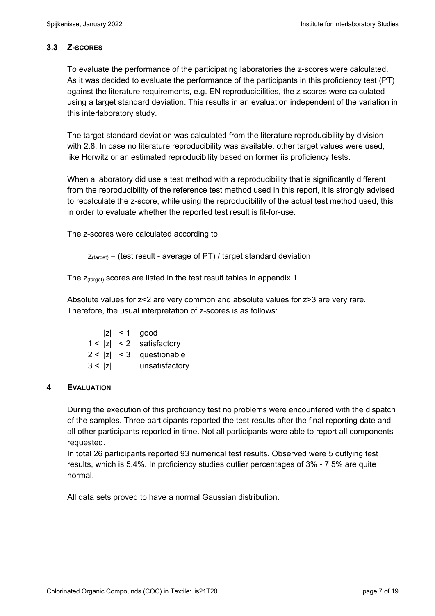# **3.3 Z-SCORES**

To evaluate the performance of the participating laboratories the z-scores were calculated. As it was decided to evaluate the performance of the participants in this proficiency test (PT) against the literature requirements, e.g. EN reproducibilities, the z-scores were calculated using a target standard deviation. This results in an evaluation independent of the variation in this interlaboratory study.

The target standard deviation was calculated from the literature reproducibility by division with 2.8. In case no literature reproducibility was available, other target values were used, like Horwitz or an estimated reproducibility based on former iis proficiency tests.

When a laboratory did use a test method with a reproducibility that is significantly different from the reproducibility of the reference test method used in this report, it is strongly advised to recalculate the z-score, while using the reproducibility of the actual test method used, this in order to evaluate whether the reported test result is fit-for-use.

The z-scores were calculated according to:

```
Z_{\text{target}} = (test result - average of PT) / target standard deviation
```
The  $z_{\text{(target)}}$  scores are listed in the test result tables in appendix 1.

Absolute values for z<2 are very common and absolute values for z>3 are very rare. Therefore, the usual interpretation of z-scores is as follows:

|        | $ z  < 1$ good             |
|--------|----------------------------|
|        | $1 <  z  < 2$ satisfactory |
|        | $2 <  z  < 3$ questionable |
| 3 <  z | unsatisfactory             |

# **4 EVALUATION**

During the execution of this proficiency test no problems were encountered with the dispatch of the samples. Three participants reported the test results after the final reporting date and all other participants reported in time. Not all participants were able to report all components requested.

In total 26 participants reported 93 numerical test results. Observed were 5 outlying test results, which is 5.4%. In proficiency studies outlier percentages of 3% - 7.5% are quite normal.

All data sets proved to have a normal Gaussian distribution.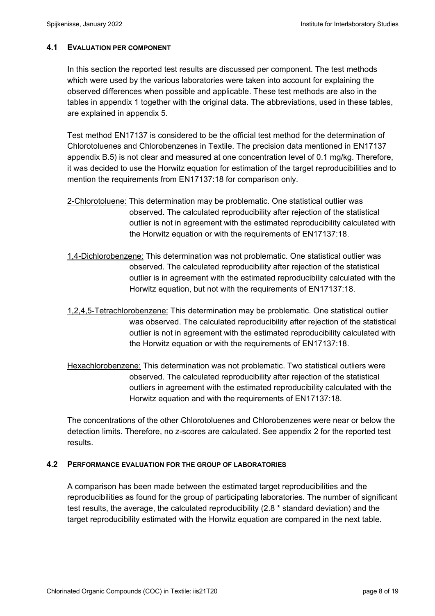#### **4.1 EVALUATION PER COMPONENT**

In this section the reported test results are discussed per component. The test methods which were used by the various laboratories were taken into account for explaining the observed differences when possible and applicable. These test methods are also in the tables in appendix 1 together with the original data. The abbreviations, used in these tables, are explained in appendix 5.

Test method EN17137 is considered to be the official test method for the determination of Chlorotoluenes and Chlorobenzenes in Textile. The precision data mentioned in EN17137 appendix B.5) is not clear and measured at one concentration level of 0.1 mg/kg. Therefore, it was decided to use the Horwitz equation for estimation of the target reproducibilities and to mention the requirements from EN17137:18 for comparison only.

- 2-Chlorotoluene: This determination may be problematic. One statistical outlier was observed. The calculated reproducibility after rejection of the statistical outlier is not in agreement with the estimated reproducibility calculated with the Horwitz equation or with the requirements of EN17137:18.
- 1,4-Dichlorobenzene: This determination was not problematic. One statistical outlier was observed. The calculated reproducibility after rejection of the statistical outlier is in agreement with the estimated reproducibility calculated with the Horwitz equation, but not with the requirements of EN17137:18.
- 1,2,4,5-Tetrachlorobenzene: This determination may be problematic. One statistical outlier was observed. The calculated reproducibility after rejection of the statistical outlier is not in agreement with the estimated reproducibility calculated with the Horwitz equation or with the requirements of EN17137:18.
- Hexachlorobenzene: This determination was not problematic. Two statistical outliers were observed. The calculated reproducibility after rejection of the statistical outliers in agreement with the estimated reproducibility calculated with the Horwitz equation and with the requirements of EN17137:18.

The concentrations of the other Chlorotoluenes and Chlorobenzenes were near or below the detection limits. Therefore, no z-scores are calculated. See appendix 2 for the reported test results.

#### **4.2 PERFORMANCE EVALUATION FOR THE GROUP OF LABORATORIES**

A comparison has been made between the estimated target reproducibilities and the reproducibilities as found for the group of participating laboratories. The number of significant test results, the average, the calculated reproducibility (2.8 \* standard deviation) and the target reproducibility estimated with the Horwitz equation are compared in the next table.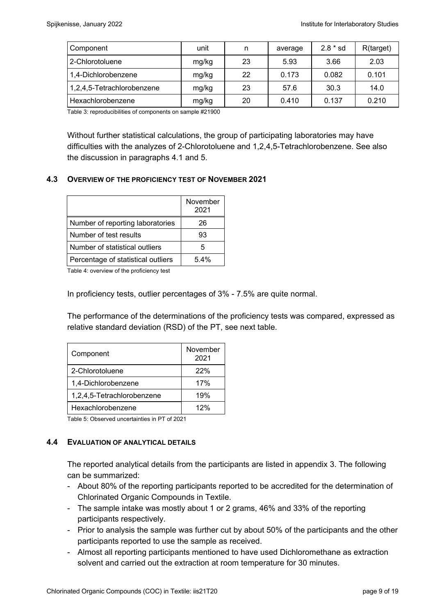| Component                  | unit  | n  | average | $2.8 * sd$ | R(target) |
|----------------------------|-------|----|---------|------------|-----------|
| 2-Chlorotoluene            | mg/kg | 23 | 5.93    | 3.66       | 2.03      |
| 1,4-Dichlorobenzene        | mg/kg | 22 | 0.173   | 0.082      | 0.101     |
| 1,2,4,5-Tetrachlorobenzene | mg/kg | 23 | 57.6    | 30.3       | 14.0      |
| Hexachlorobenzene          | mg/kg | 20 | 0.410   | 0.137      | 0.210     |

Table 3: reproducibilities of components on sample #21900

Without further statistical calculations, the group of participating laboratories may have difficulties with the analyzes of 2-Chlorotoluene and 1,2,4,5-Tetrachlorobenzene. See also the discussion in paragraphs 4.1 and 5.

## **4.3 OVERVIEW OF THE PROFICIENCY TEST OF NOVEMBER 2021**

|                                    | November<br>2021 |
|------------------------------------|------------------|
| Number of reporting laboratories   | 26               |
| Number of test results             | 93               |
| Number of statistical outliers     | 5                |
| Percentage of statistical outliers | $5.4\%$          |

Table 4: overview of the proficiency test

In proficiency tests, outlier percentages of 3% - 7.5% are quite normal.

The performance of the determinations of the proficiency tests was compared, expressed as relative standard deviation (RSD) of the PT, see next table.

| Component                  | November<br>2021 |
|----------------------------|------------------|
| 2-Chlorotoluene            | 22%              |
| 1,4-Dichlorobenzene        | 17%              |
| 1,2,4,5-Tetrachlorobenzene | 19%              |
| Hexachlorobenzene          | 12%              |

Table 5: Observed uncertainties in PT of 2021

## **4.4 EVALUATION OF ANALYTICAL DETAILS**

The reported analytical details from the participants are listed in appendix 3. The following can be summarized:

- About 80% of the reporting participants reported to be accredited for the determination of Chlorinated Organic Compounds in Textile.
- The sample intake was mostly about 1 or 2 grams, 46% and 33% of the reporting participants respectively.
- Prior to analysis the sample was further cut by about 50% of the participants and the other participants reported to use the sample as received.
- Almost all reporting participants mentioned to have used Dichloromethane as extraction solvent and carried out the extraction at room temperature for 30 minutes.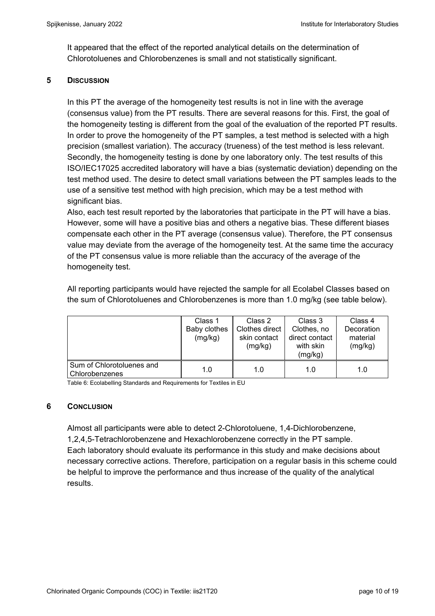It appeared that the effect of the reported analytical details on the determination of Chlorotoluenes and Chlorobenzenes is small and not statistically significant.

## **5 DISCUSSION**

In this PT the average of the homogeneity test results is not in line with the average (consensus value) from the PT results. There are several reasons for this. First, the goal of the homogeneity testing is different from the goal of the evaluation of the reported PT results. In order to prove the homogeneity of the PT samples, a test method is selected with a high precision (smallest variation). The accuracy (trueness) of the test method is less relevant. Secondly, the homogeneity testing is done by one laboratory only. The test results of this ISO/IEC17025 accredited laboratory will have a bias (systematic deviation) depending on the test method used. The desire to detect small variations between the PT samples leads to the use of a sensitive test method with high precision, which may be a test method with significant bias.

Also, each test result reported by the laboratories that participate in the PT will have a bias. However, some will have a positive bias and others a negative bias. These different biases compensate each other in the PT average (consensus value). Therefore, the PT consensus value may deviate from the average of the homogeneity test. At the same time the accuracy of the PT consensus value is more reliable than the accuracy of the average of the homogeneity test.

All reporting participants would have rejected the sample for all Ecolabel Classes based on the sum of Chlorotoluenes and Chlorobenzenes is more than 1.0 mg/kg (see table below).

|                                             | Class 1<br>Baby clothes<br>(mg/kg) | Class 2<br>Clothes direct<br>skin contact<br>(mg/kg) | Class 3<br>Clothes, no<br>direct contact<br>with skin<br>(mg/kg) | Class 4<br>Decoration<br>material<br>(mg/kg) |
|---------------------------------------------|------------------------------------|------------------------------------------------------|------------------------------------------------------------------|----------------------------------------------|
| Sum of Chlorotoluenes and<br>Chlorobenzenes | 1.0                                | 1.0                                                  | 1.0                                                              | 1.0                                          |

Table 6: Ecolabelling Standards and Requirements for Textiles in EU

## **6 CONCLUSION**

Almost all participants were able to detect 2-Chlorotoluene, 1,4-Dichlorobenzene, 1,2,4,5-Tetrachlorobenzene and Hexachlorobenzene correctly in the PT sample. Each laboratory should evaluate its performance in this study and make decisions about necessary corrective actions. Therefore, participation on a regular basis in this scheme could be helpful to improve the performance and thus increase of the quality of the analytical results.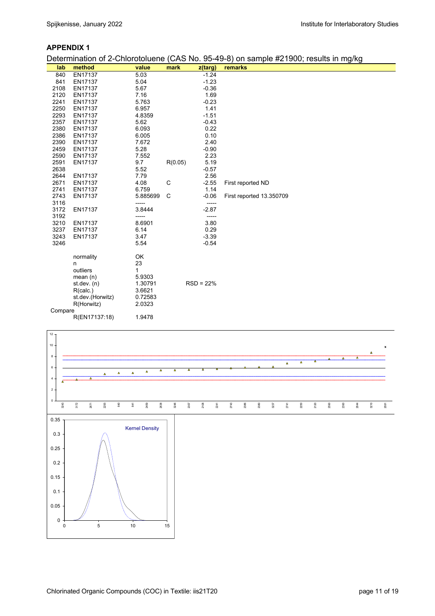#### **APPENDIX 1**

Determination of 2-Chlorotoluene (CAS No. 95-49-8) on sample #21900; results in mg/kg

| lab          | method           | value             | mark    | z(targ)          | remarks                  |  | ັ |  |
|--------------|------------------|-------------------|---------|------------------|--------------------------|--|---|--|
| 840          | EN17137          | 5.03              |         | $-1.24$          |                          |  |   |  |
| 841          | EN17137          | 5.04              |         | $-1.23$          |                          |  |   |  |
| 2108         | EN17137          | 5.67              |         | $-0.36$          |                          |  |   |  |
| 2120         | EN17137          | 7.16              |         | 1.69             |                          |  |   |  |
| 2241         | EN17137          | 5.763             |         | $-0.23$          |                          |  |   |  |
| 2250         | EN17137          | 6.957             |         | 1.41             |                          |  |   |  |
| 2293         | EN17137          | 4.8359            |         | $-1.51$          |                          |  |   |  |
| 2357         | EN17137          | 5.62              |         | $-0.43$          |                          |  |   |  |
| 2380         | EN17137          | 6.093             |         | 0.22             |                          |  |   |  |
| 2386         | EN17137          | 6.005             |         | 0.10             |                          |  |   |  |
| 2390         | EN17137          | 7.672             |         | 2.40             |                          |  |   |  |
| 2459         | EN17137          | 5.28              |         | $-0.90$          |                          |  |   |  |
| 2590         | EN17137          | 7.552             |         | 2.23             |                          |  |   |  |
| 2591         | EN17137          | 9.7               | R(0.05) | 5.19             |                          |  |   |  |
| 2638         |                  | 5.52              |         | $-0.57$          |                          |  |   |  |
| 2644         | EN17137          | 7.79              |         | 2.56             |                          |  |   |  |
| 2671         | EN17137          | 4.08              | C       | $-2.55$          | First reported ND        |  |   |  |
| 2741         | EN17137          | 6.759             |         | 1.14             |                          |  |   |  |
| 2743<br>3116 | EN17137          | 5.885699<br>----- | C       | $-0.06$<br>----- | First reported 13.350709 |  |   |  |
| 3172         | EN17137          | 3.8444            |         | $-2.87$          |                          |  |   |  |
| 3192         |                  | -----             |         | -----            |                          |  |   |  |
| 3210         | EN17137          | 8.6901            |         | 3.80             |                          |  |   |  |
| 3237         | EN17137          | 6.14              |         | 0.29             |                          |  |   |  |
| 3243         | EN17137          | 3.47              |         | $-3.39$          |                          |  |   |  |
| 3246         |                  | 5.54              |         | $-0.54$          |                          |  |   |  |
|              |                  |                   |         |                  |                          |  |   |  |
|              | normality        | OK                |         |                  |                          |  |   |  |
|              | n                | 23                |         |                  |                          |  |   |  |
|              | outliers         | 1                 |         |                  |                          |  |   |  |
|              | mean $(n)$       | 5.9303            |         |                  |                          |  |   |  |
|              | st.dev. $(n)$    | 1.30791           |         | $RSD = 22%$      |                          |  |   |  |
|              | R(calc.)         | 3.6621            |         |                  |                          |  |   |  |
|              | st.dev.(Horwitz) | 0.72583           |         |                  |                          |  |   |  |
|              | R(Horwitz)       | 2.0323            |         |                  |                          |  |   |  |
| Compare      |                  |                   |         |                  |                          |  |   |  |
|              | R(EN17137:18)    | 1.9478            |         |                  |                          |  |   |  |

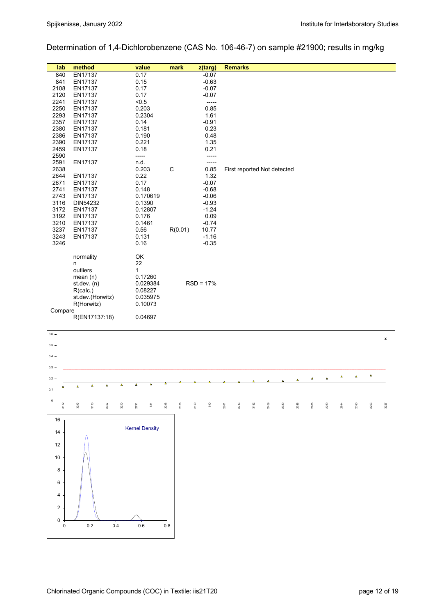Determination of 1,4-Dichlorobenzene (CAS No. 106-46-7) on sample #21900; results in mg/kg

| lab     | method           | value        | mark    | $z$ (targ)  | <b>Remarks</b>              |
|---------|------------------|--------------|---------|-------------|-----------------------------|
| 840     | EN17137          | 0.17         |         | $-0.07$     |                             |
| 841     | EN17137          | 0.15         |         | $-0.63$     |                             |
| 2108    | EN17137          | 0.17         |         | $-0.07$     |                             |
| 2120    | EN17137          | 0.17         |         | $-0.07$     |                             |
| 2241    | EN17137          | < 0.5        |         | -----       |                             |
| 2250    | EN17137          | 0.203        |         | 0.85        |                             |
| 2293    | EN17137          | 0.2304       |         | 1.61        |                             |
| 2357    | EN17137          | 0.14         |         | $-0.91$     |                             |
| 2380    | EN17137          | 0.181        |         | 0.23        |                             |
| 2386    | EN17137          | 0.190        |         | 0.48        |                             |
| 2390    | EN17137          | 0.221        |         | 1.35        |                             |
| 2459    | EN17137          | 0.18         |         | 0.21        |                             |
| 2590    |                  | -----        |         | -----       |                             |
| 2591    | EN17137          | n.d.         |         | -----       |                             |
| 2638    |                  | 0.203        | C       | 0.85        | First reported Not detected |
| 2644    | EN17137          | 0.22         |         | 1.32        |                             |
| 2671    | EN17137          | 0.17         |         | $-0.07$     |                             |
| 2741    | EN17137          | 0.148        |         | $-0.68$     |                             |
| 2743    | EN17137          | 0.170619     |         | $-0.06$     |                             |
| 3116    | DIN54232         | 0.1390       |         | $-0.93$     |                             |
| 3172    | EN17137          | 0.12807      |         | $-1.24$     |                             |
| 3192    | EN17137          | 0.176        |         | 0.09        |                             |
| 3210    | EN17137          | 0.1461       |         | $-0.74$     |                             |
| 3237    | EN17137          | 0.56         | R(0.01) | 10.77       |                             |
| 3243    | EN17137          | 0.131        |         | $-1.16$     |                             |
| 3246    |                  | 0.16         |         | $-0.35$     |                             |
|         | normality        | OK           |         |             |                             |
|         | n                | 22           |         |             |                             |
|         | outliers         | $\mathbf{1}$ |         |             |                             |
|         | mean(n)          | 0.17260      |         |             |                             |
|         | st. dev. (n)     | 0.029384     |         | $RSD = 17%$ |                             |
|         | R(calc.)         | 0.08227      |         |             |                             |
|         | st.dev.(Horwitz) | 0.035975     |         |             |                             |
|         | R(Horwitz)       | 0.10073      |         |             |                             |
| Compare |                  |              |         |             |                             |
|         | R(EN17137:18)    | 0.04697      |         |             |                             |

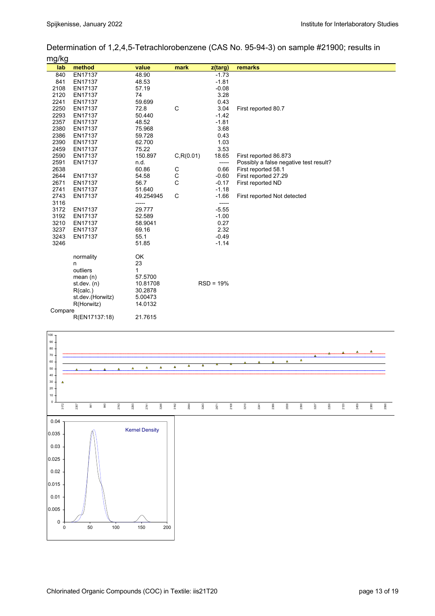Determination of 1,2,4,5-Tetrachlorobenzene (CAS No. 95-94-3) on sample #21900; results in mg/kg

| ິ<br>lab | method           | value     | mark        | z(targ)     | remarks                                |
|----------|------------------|-----------|-------------|-------------|----------------------------------------|
| 840      | EN17137          | 48.90     |             | $-1.73$     |                                        |
| 841      | EN17137          | 48.53     |             | $-1.81$     |                                        |
| 2108     | EN17137          | 57.19     |             | $-0.08$     |                                        |
| 2120     | EN17137          | 74        |             | 3.28        |                                        |
| 2241     | EN17137          | 59.699    |             | 0.43        |                                        |
| 2250     | EN17137          | 72.8      | C           | 3.04        | First reported 80.7                    |
| 2293     | EN17137          | 50.440    |             | $-1.42$     |                                        |
| 2357     | EN17137          | 48.52     |             | $-1.81$     |                                        |
| 2380     | EN17137          | 75.968    |             | 3.68        |                                        |
| 2386     | EN17137          | 59.728    |             | 0.43        |                                        |
| 2390     | EN17137          | 62.700    |             | 1.03        |                                        |
| 2459     | EN17137          | 75.22     |             | 3.53        |                                        |
| 2590     | EN17137          | 150.897   | C, R(0.01)  | 18.65       | First reported 86.873                  |
| 2591     | EN17137          | n.d.      |             | -----       | Possibly a false negative test result? |
| 2638     |                  | 60.86     | $\mathsf C$ | 0.66        | First reported 58.1                    |
| 2644     | EN17137          | 54.58     | $\mathsf C$ | $-0.60$     | First reported 27.29                   |
| 2671     | EN17137          | 56.7      | C           | $-0.17$     | First reported ND                      |
| 2741     | EN17137          | 51.640    |             | $-1.18$     |                                        |
| 2743     | EN17137          | 49.254945 | С           | $-1.66$     | First reported Not detected            |
| 3116     |                  | -----     |             | -----       |                                        |
| 3172     | EN17137          | 29.777    |             | $-5.55$     |                                        |
| 3192     | EN17137          | 52.589    |             | $-1.00$     |                                        |
| 3210     | EN17137          | 58.9041   |             | 0.27        |                                        |
| 3237     | EN17137          | 69.16     |             | 2.32        |                                        |
| 3243     | EN17137          | 55.1      |             | $-0.49$     |                                        |
| 3246     |                  | 51.85     |             | $-1.14$     |                                        |
|          | normality        | OK        |             |             |                                        |
|          | n                | 23        |             |             |                                        |
|          | outliers         | 1         |             |             |                                        |
|          | mean $(n)$       | 57.5700   |             |             |                                        |
|          | st. dev. (n)     | 10.81708  |             | $RSD = 19%$ |                                        |
|          | R(calc.)         | 30.2878   |             |             |                                        |
|          | st.dev.(Horwitz) | 5.00473   |             |             |                                        |
|          | R(Horwitz)       | 14.0132   |             |             |                                        |
| Compare  |                  |           |             |             |                                        |
|          | R(EN17137:18)    | 21.7615   |             |             |                                        |

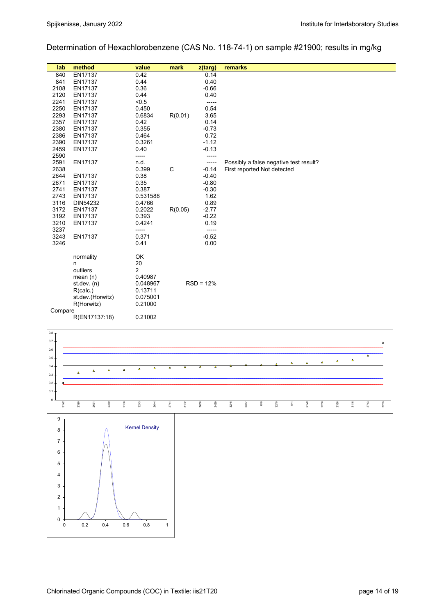Determination of Hexachlorobenzene (CAS No. 118-74-1) on sample #21900; results in mg/kg

| lab     | method           | value          | mark    | z(targ)     | remarks                                |
|---------|------------------|----------------|---------|-------------|----------------------------------------|
| 840     | EN17137          | 0.42           |         | 0.14        |                                        |
| 841     | EN17137          | 0.44           |         | 0.40        |                                        |
| 2108    | EN17137          | 0.36           |         | $-0.66$     |                                        |
| 2120    | EN17137          | 0.44           |         | 0.40        |                                        |
| 2241    | EN17137          | < 0.5          |         | -----       |                                        |
| 2250    | EN17137          | 0.450          |         | 0.54        |                                        |
| 2293    | EN17137          | 0.6834         | R(0.01) | 3.65        |                                        |
| 2357    | EN17137          | 0.42           |         | 0.14        |                                        |
| 2380    | EN17137          | 0.355          |         | $-0.73$     |                                        |
| 2386    | EN17137          | 0.464          |         | 0.72        |                                        |
| 2390    | EN17137          | 0.3261         |         | $-1.12$     |                                        |
| 2459    | EN17137          | 0.40           |         | $-0.13$     |                                        |
| 2590    |                  | -----          |         | -----       |                                        |
| 2591    | EN17137          | n.d.           |         | -----       | Possibly a false negative test result? |
| 2638    |                  | 0.399          | C       | $-0.14$     | First reported Not detected            |
| 2644    | EN17137          | 0.38           |         | $-0.40$     |                                        |
| 2671    | EN17137          | 0.35           |         | $-0.80$     |                                        |
| 2741    | EN17137          | 0.387          |         | $-0.30$     |                                        |
| 2743    | EN17137          | 0.531588       |         | 1.62        |                                        |
| 3116    | DIN54232         | 0.4766         |         | 0.89        |                                        |
| 3172    | EN17137          | 0.2022         | R(0.05) | $-2.77$     |                                        |
| 3192    | EN17137          | 0.393          |         | $-0.22$     |                                        |
| 3210    | EN17137          | 0.4241         |         | 0.19        |                                        |
| 3237    |                  | -----          |         | -----       |                                        |
| 3243    | EN17137          | 0.371          |         | $-0.52$     |                                        |
| 3246    |                  | 0.41           |         | 0.00        |                                        |
|         | normality        | OK             |         |             |                                        |
|         | n                | 20             |         |             |                                        |
|         | outliers         | $\overline{c}$ |         |             |                                        |
|         | mean $(n)$       | 0.40987        |         |             |                                        |
|         | st.dev. $(n)$    | 0.048967       |         | $RSD = 12%$ |                                        |
|         | R(calc.)         | 0.13711        |         |             |                                        |
|         | st.dev.(Horwitz) | 0.075001       |         |             |                                        |
|         | R(Horwitz)       | 0.21000        |         |             |                                        |
| Compare |                  |                |         |             |                                        |
|         | R(EN17137:18)    | 0.21002        |         |             |                                        |
|         |                  |                |         |             |                                        |

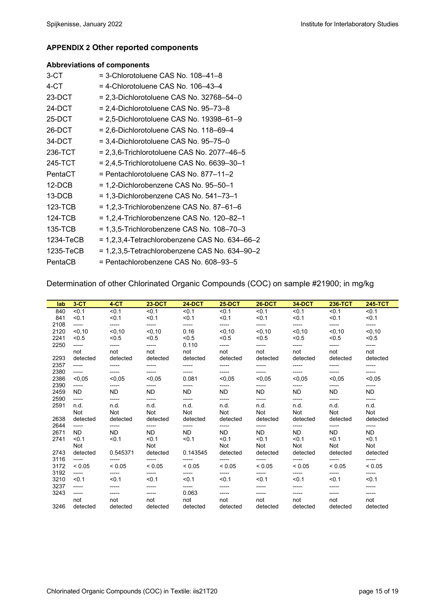#### **APPENDIX 2 Other reported components**

#### **Abbreviations of components**

| 3-CT      | $=$ 3-Chlorotoluene CAS No. 108-41-8             |
|-----------|--------------------------------------------------|
| 4-CT      | = 4-Chlorotoluene CAS No. 106-43-4               |
| 23-DCT    | $= 2,3$ -Dichlorotoluene CAS No. 32768-54-0      |
| 24-DCT    | $= 2,4$ -Dichlorotoluene CAS No. 95-73-8         |
| 25-DCT    | $= 2.5$ -Dichlorotoluene CAS No. 19398–61–9      |
| 26-DCT    | = 2,6-Dichlorotoluene CAS No. 118–69–4           |
| 34-DCT    | $=$ 3,4-Dichlorotoluene CAS No. 95–75–0          |
| 236-TCT   | $= 2,3,6$ -Trichlorotoluene CAS No. 2077-46-5    |
| 245-TCT   | $= 2,4,5$ -Trichlorotoluene CAS No. 6639-30-1    |
| PentaCT   | = Pentachlorotoluene CAS No. 877-11-2            |
| $12-DCB$  | = 1,2-Dichlorobenzene CAS No. 95-50-1            |
| 13-DCB    | = 1,3-Dichlorobenzene CAS No. 541-73-1           |
| 123-TCB   | $= 1,2,3$ -Trichlorobenzene CAS No. 87-61-6      |
| 124-TCB   | = 1,2,4-Trichlorobenzene CAS No. 120-82-1        |
| 135-TCB   | $= 1,3,5$ -Trichlorobenzene CAS No. 108-70-3     |
| 1234-TeCB | $= 1,2,3,4$ -Tetrachlorobenzene CAS No. 634–66–2 |
| 1235-TeCB | $= 1,2,3,5$ -Tetrachlorobenzene CAS No. 634–90–2 |
| PentaCB   | = Pentachlorobenzene CAS No. 608-93-5            |

Determination of other Chlorinated Organic Compounds (COC) on sample #21900; in mg/kg

| lab  | $3-CT$      | $4-CT$      | <b>23-DCT</b> | <b>24-DCT</b> | <b>25-DCT</b> | <b>26-DCT</b> | <b>34-DCT</b> | 236-TCT     | <b>245-TCT</b> |
|------|-------------|-------------|---------------|---------------|---------------|---------------|---------------|-------------|----------------|
| 840  | < 0.1       | < 0.1       | < 0.1         | < 0.1         | < 0.1         | < 0.1         | < 0.1         | < 0.1       | < 0.1          |
| 841  | < 0.1       | < 0.1       | < 0.1         | < 0.1         | < 0.1         | < 0.1         | < 0.1         | < 0.1       | < 0.1          |
| 2108 | -----       | -----       | -----         | -----         | -----         | -----         | -----         | -----       | -----          |
| 2120 | < 0.10      | < 0.10      | < 0, 10       | 0.16          | < 0.10        | < 0.10        | < 0.10        | < 0.10      | < 0.10         |
| 2241 | < 0.5       | < 0.5       | < 0.5         | < 0.5         | < 0.5         | < 0.5         | < 0.5         | < 0.5       | < 0.5          |
| 2250 | -----       | -----       | -----         | 0.110         | -----         | -----         | -----         | -----       | -----          |
|      | not         | not         | not           | not           | not           | not           | not           | not         | not            |
| 2293 | detected    | detected    | detected      | detected      | detected      | detected      | detected      | detected    | detected       |
| 2357 | -----       | ------      | -----         | -----         | -----         | -----         | -----         | -----       | -----          |
| 2380 | -----       | ------      | -----         | -----         | -----         | -----         | -----         | -----       | -----          |
| 2386 | < 0.05      | < 0.05      | < 0.05        | 0.081         | < 0.05        | < 0.05        | < 0.05        | < 0.05      | < 0.05         |
| 2390 | -----       | -----       | -----         | ------        | ------        | -----         | ------        | -----       | -----          |
| 2459 | ND.         | <b>ND</b>   | <b>ND</b>     | <b>ND</b>     | <b>ND</b>     | <b>ND</b>     | <b>ND</b>     | <b>ND</b>   | <b>ND</b>      |
| 2590 | -----       | -----       | -----         | ------        | ------        | -----         | -----         | -----       | -----          |
| 2591 | n.d.        | n.d.        | n.d.          | n.d.          | n.d.          | n.d.          | n.d.          | n.d.        | n.d.           |
|      | <b>Not</b>  | <b>Not</b>  | Not           | <b>Not</b>    | Not           | <b>Not</b>    | <b>Not</b>    | <b>Not</b>  | <b>Not</b>     |
| 2638 | detected    | detected    | detected      | detected      | detected      | detected      | detected      | detected    | detected       |
| 2644 | -----       | -----       | -----         | ------        | ------        | -----         | -----         | -----       | -----          |
| 2671 | ND.         | <b>ND</b>   | ND.           | <b>ND</b>     | <b>ND</b>     | <b>ND</b>     | <b>ND</b>     | <b>ND</b>   | <b>ND</b>      |
| 2741 | < 0.1       | < 0.1       | < 0.1         | < 0.1         | < 0.1         | < 0.1         | < 0.1         | < 0.1       | < 0.1          |
|      | Not         |             | Not           |               | <b>Not</b>    | <b>Not</b>    | <b>Not</b>    | Not         | Not            |
| 2743 | detected    | 0.545371    | detected      | 0.143545      | detected      | detected      | detected      | detected    | detected       |
| 3116 | -----       |             | -----         |               | ------        | -----         | -----         | -----       | -----          |
| 3172 | ${}_{0.05}$ | ${}_{0.05}$ | ${}< 0.05$    | ${}< 0.05$    | ${}< 0.05$    | ${}_{0.05}$   | ${}_{0.05}$   | ${}_{0.05}$ | ${}_{0.05}$    |
| 3192 | -----       | -----       | -----         | -----         | -----         | -----         | -----         | -----       | -----          |
| 3210 | < 0.1       | < 0.1       | < 0.1         | < 0.1         | < 0.1         | < 0.1         | < 0.1         | < 0.1       | < 0.1          |
| 3237 | -----       | ------      | -----         | -----         | ------        | -----         | -----         |             |                |
| 3243 | -----       | -----       | -----         | 0.063         | ------        | -----         | -----         | -----       | -----          |
|      | not         | not         | not           | not           | not           | not           | not           | not         | not            |
| 3246 | detected    | detected    | detected      | detected      | detected      | detected      | detected      | detected    | detected       |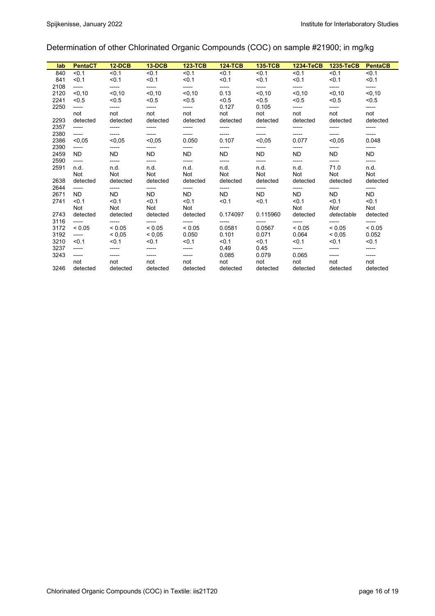# Determination of other Chlorinated Organic Compounds (COC) on sample #21900; in mg/kg

| lab  | <b>PentaCT</b> | <b>12-DCB</b> | $13-DCB$    | <b>123-TCB</b> | <b>124-TCB</b> | <b>135-TCB</b> | 1234-TeCB   | 1235-TeCB   | <b>PentaCB</b> |
|------|----------------|---------------|-------------|----------------|----------------|----------------|-------------|-------------|----------------|
| 840  | < 0.1          | < 0.1         | < 0.1       | < 0.1          | < 0.1          | < 0.1          | < 0.1       | < 0.1       | < 0.1          |
| 841  | < 0.1          | < 0.1         | < 0.1       | < 0.1          | < 0.1          | < 0.1          | < 0.1       | < 0.1       | < 0.1          |
| 2108 | -----          | -----         | -----       | -----          | -----          | ------         | -----       | -----       | -----          |
| 2120 | < 0.10         | < 0.10        | < 0.10      | < 0.10         | 0.13           | < 0.10         | < 0.10      | < 0.10      | < 0.10         |
| 2241 | < 0.5          | < 0.5         | < 0.5       | < 0.5          | < 0.5          | < 0.5          | < 0.5       | < 0.5       | < 0.5          |
| 2250 | -----          | -----         | -----       | -----          | 0.127          | 0.105          | -----       | -----       | -----          |
|      | not            | not           | not         | not            | not            | not            | not         | not         | not            |
| 2293 | detected       | detected      | detected    | detected       | detected       | detected       | detected    | detected    | detected       |
| 2357 | -----          | -----         |             | -----          | -----          | -----          | -----       | -----       | -----          |
| 2380 | -----          | -----         |             |                | -----          | -----          | -----       |             | -----          |
| 2386 | < 0.05         | < 0.05        | < 0.05      | 0.050          | 0.107          | < 0.05         | 0.077       | < 0.05      | 0.048          |
| 2390 | -----          | -----         | -----       | -----          | -----          | -----          | -----       | -----       | -----          |
| 2459 | ND.            | <b>ND</b>     | <b>ND</b>   | <b>ND</b>      | <b>ND</b>      | <b>ND</b>      | <b>ND</b>   | ND          | <b>ND</b>      |
| 2590 | -----          | -----         | -----       | -----          | -----          | -----          | -----       | -----       | -----          |
| 2591 | n.d.           | n.d.          | n.d.        | n.d.           | n.d.           | n.d.           | n.d.        | 71.0        | n.d.           |
|      | <b>Not</b>     | <b>Not</b>    | Not         | Not            | <b>Not</b>     | <b>Not</b>     | <b>Not</b>  | Not         | <b>Not</b>     |
| 2638 | detected       | detected      | detected    | detected       | detected       | detected       | detected    | detected    | detected       |
| 2644 | -----          | -----         | -----       | -----          | -----          | -----          | -----       | -----       | -----          |
| 2671 | <b>ND</b>      | <b>ND</b>     | <b>ND</b>   | <b>ND</b>      | <b>ND</b>      | <b>ND</b>      | <b>ND</b>   | ND          | ND.            |
| 2741 | < 0.1          | < 0.1         | < 0.1       | < 0.1          | < 0.1          | < 0.1          | < 0.1       | < 0.1       | < 0.1          |
|      | <b>Not</b>     | <b>Not</b>    | <b>Not</b>  | Not            |                |                | <b>Not</b>  | Not         | <b>Not</b>     |
| 2743 | detected       | detected      | detected    | detected       | 0.174097       | 0.115960       | detected    | detectable  | detected       |
| 3116 | -----          | -----         | -----       | ------         | -----          | ------         | -----       | ------      | -----          |
| 3172 | ${}< 0.05$     | ${}_{0.05}$   | ${}_{0.05}$ | < 0.05         | 0.0581         | 0.0567         | ${}_{0.05}$ | ${}_{0.05}$ | ${}_{0.05}$    |
| 3192 | -----          | ${}_{0.05}$   | ${}_{0.05}$ | 0.050          | 0.101          | 0.071          | 0.064       | ${}_{0.05}$ | 0.052          |
| 3210 | < 0.1          | < 0.1         | < 0.1       | < 0.1          | < 0.1          | < 0.1          | < 0.1       | < 0.1       | < 0.1          |
| 3237 | -----          |               |             | -----          | 0.49           | 0.45           | -----       | -----       | -----          |
| 3243 | -----          | -----         | -----       | -----          | 0.085          | 0.079          | 0.065       | -----       | -----          |
|      | not            | not           | not         | not            | not            | not            | not         | not         | not            |
| 3246 | detected       | detected      | detected    | detected       | detected       | detected       | detected    | detected    | detected       |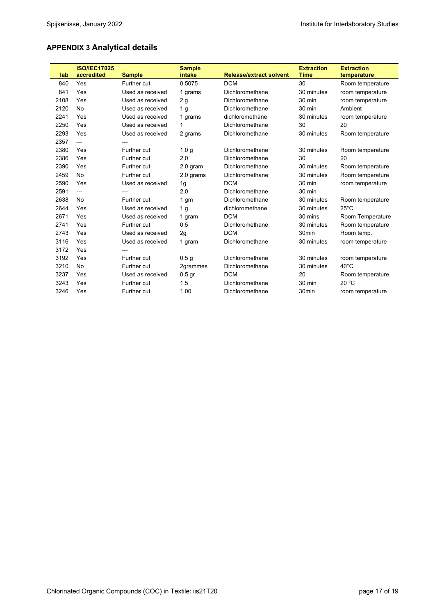# **APPENDIX 3 Analytical details**

|      | <b>ISO/IEC17025</b> |                    | <b>Sample</b>    |                                | <b>Extraction</b> | <b>Extraction</b> |
|------|---------------------|--------------------|------------------|--------------------------------|-------------------|-------------------|
| lab  | accredited          | <b>Sample</b>      | intake           | <b>Release/extract solvent</b> | <b>Time</b>       | temperature       |
| 840  | Yes                 | Further cut        | 0.5075           | <b>DCM</b>                     | 30                | Room temperature  |
| 841  | Yes                 | Used as received   | 1 grams          | Dichloromethane                | 30 minutes        | room temperature  |
| 2108 | Yes                 | Used as received   | 2g               | Dichloromethane                | 30 min            | room temperature  |
| 2120 | No                  | Used as received   | 1 <sub>q</sub>   | Dichloromethane                | 30 min            | Ambient           |
| 2241 | Yes                 | Used as received   | 1 grams          | dichloromethane                | 30 minutes        | room temperature  |
| 2250 | Yes                 | Used as received   | 1                | Dichloromethane                | 30                | 20                |
| 2293 | Yes                 | Used as received   | 2 grams          | Dichloromethane                | 30 minutes        | Room temperature  |
| 2357 | $---$               |                    |                  |                                |                   |                   |
| 2380 | Yes                 | Further cut        | 1.0 <sub>q</sub> | Dichloromethane                | 30 minutes        | Room temperature  |
| 2386 | Yes                 | Further cut        | 2,0              | Dichloromethane                | 30                | 20                |
| 2390 | Yes                 | Further cut        | 2.0 gram         | Dichloromethane                | 30 minutes        | Room temperature  |
| 2459 | No                  | Further cut        | 2.0 grams        | Dichloromethane                | 30 minutes        | Room temperature  |
| 2590 | Yes                 | Used as received   | 1g               | <b>DCM</b>                     | 30 min            | room temperature  |
| 2591 | $\overline{a}$      | ---                | 2.0              | Dichloromethane                | 30 min            |                   |
| 2638 | No                  | Further cut        | 1 <sub>gm</sub>  | Dichloromethane                | 30 minutes        | Room temperature  |
| 2644 | Yes                 | Used as received   | 1 <sub>g</sub>   | dichloromethane                | 30 minutes        | $25^{\circ}$ C    |
| 2671 | Yes                 | Used as received   | 1 gram           | <b>DCM</b>                     | 30 mins           | Room Temperature  |
| 2741 | Yes                 | Further cut        | 0.5              | Dichloromethane                | 30 minutes        | Room temperature  |
| 2743 | Yes                 | Used as received   | 2g               | <b>DCM</b>                     | 30 <sub>min</sub> | Room temp.        |
| 3116 | Yes                 | Used as received   | 1 gram           | Dichloromethane                | 30 minutes        | room temperature  |
| 3172 | Yes                 |                    |                  |                                |                   |                   |
| 3192 | Yes                 | Further cut        | 0,5g             | Dichloromethane                | 30 minutes        | room temperature  |
| 3210 | No                  | Further cut        | 2grammes         | Dichloromethane                | 30 minutes        | $40^{\circ}$ C    |
| 3237 | Yes                 | Used as received   | $0,5$ gr         | <b>DCM</b>                     | 20                | Room temperature  |
| 3243 | Yes                 | Further cut        | 1.5              | Dichloromethane                | 30 min            | 20 °C             |
| 3246 | Yes                 | <b>Further cut</b> | 1.00             | Dichloromethane                | 30 <sub>min</sub> | room temperature  |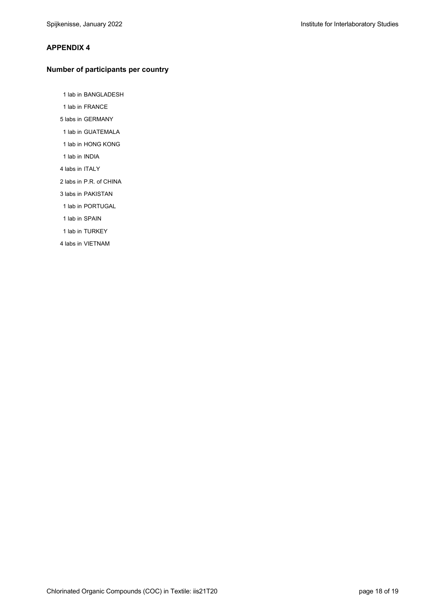#### **APPENDIX 4**

#### **Number of participants per country**

1 lab in BANGLADESH

- 1 lab in FRANCE
- 5 labs in GERMANY
- 1 lab in GUATEMALA
- 1 lab in HONG KONG
- 1 lab in INDIA
- 4 labs in ITALY
- 2 labs in P.R. of CHINA
- 3 labs in PAKISTAN
- 1 lab in PORTUGAL
- 1 lab in SPAIN
- 1 lab in TURKEY
- 4 labs in VIETNAM